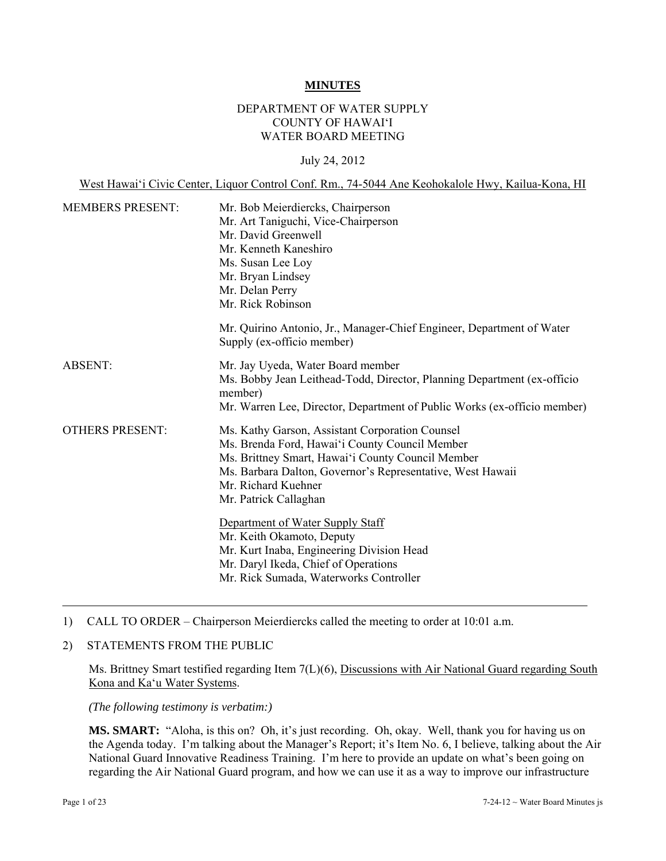#### **MINUTES**

# DEPARTMENT OF WATER SUPPLY COUNTY OF HAWAI'I WATER BOARD MEETING

#### July 24, 2012

West Hawai'i Civic Center, Liquor Control Conf. Rm., 74-5044 Ane Keohokalole Hwy, Kailua-Kona, HI

| <b>MEMBERS PRESENT:</b> | Mr. Bob Meierdiercks, Chairperson                                                                   |  |  |
|-------------------------|-----------------------------------------------------------------------------------------------------|--|--|
|                         | Mr. Art Taniguchi, Vice-Chairperson                                                                 |  |  |
|                         | Mr. David Greenwell                                                                                 |  |  |
|                         | Mr. Kenneth Kaneshiro                                                                               |  |  |
|                         | Ms. Susan Lee Loy                                                                                   |  |  |
|                         | Mr. Bryan Lindsey                                                                                   |  |  |
|                         | Mr. Delan Perry                                                                                     |  |  |
|                         | Mr. Rick Robinson                                                                                   |  |  |
|                         | Mr. Quirino Antonio, Jr., Manager-Chief Engineer, Department of Water<br>Supply (ex-officio member) |  |  |
| <b>ABSENT:</b>          | Mr. Jay Uyeda, Water Board member                                                                   |  |  |
|                         | Ms. Bobby Jean Leithead-Todd, Director, Planning Department (ex-officio                             |  |  |
|                         | member)                                                                                             |  |  |
|                         | Mr. Warren Lee, Director, Department of Public Works (ex-officio member)                            |  |  |
| <b>OTHERS PRESENT:</b>  | Ms. Kathy Garson, Assistant Corporation Counsel                                                     |  |  |
|                         | Ms. Brenda Ford, Hawai'i County Council Member                                                      |  |  |
|                         | Ms. Brittney Smart, Hawai'i County Council Member                                                   |  |  |
|                         | Ms. Barbara Dalton, Governor's Representative, West Hawaii                                          |  |  |
|                         | Mr. Richard Kuehner                                                                                 |  |  |
|                         | Mr. Patrick Callaghan                                                                               |  |  |
|                         | Department of Water Supply Staff                                                                    |  |  |
|                         | Mr. Keith Okamoto, Deputy                                                                           |  |  |
|                         | Mr. Kurt Inaba, Engineering Division Head                                                           |  |  |
|                         | Mr. Daryl Ikeda, Chief of Operations                                                                |  |  |
|                         | Mr. Rick Sumada, Waterworks Controller                                                              |  |  |
|                         |                                                                                                     |  |  |

- 1) CALL TO ORDER Chairperson Meierdiercks called the meeting to order at 10:01 a.m.
- 2) STATEMENTS FROM THE PUBLIC

Ms. Brittney Smart testified regarding Item 7(L)(6), Discussions with Air National Guard regarding South Kona and Ka'u Water Systems.

*(The following testimony is verbatim:)* 

**MS. SMART:** "Aloha, is this on? Oh, it's just recording. Oh, okay. Well, thank you for having us on the Agenda today. I'm talking about the Manager's Report; it's Item No. 6, I believe, talking about the Air National Guard Innovative Readiness Training. I'm here to provide an update on what's been going on regarding the Air National Guard program, and how we can use it as a way to improve our infrastructure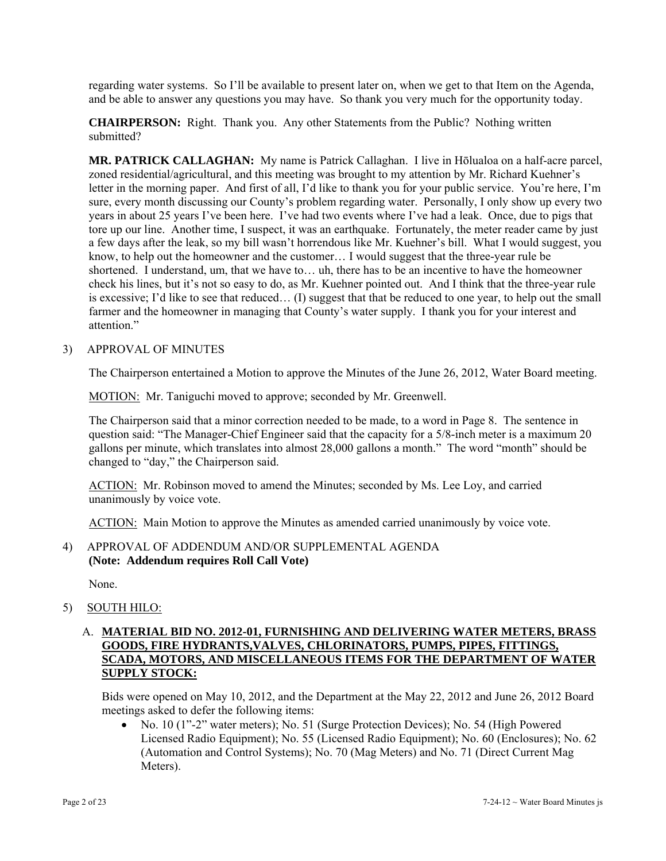regarding water systems. So I'll be available to present later on, when we get to that Item on the Agenda, and be able to answer any questions you may have. So thank you very much for the opportunity today.

**CHAIRPERSON:** Right. Thank you. Any other Statements from the Public? Nothing written submitted?

**MR. PATRICK CALLAGHAN:** My name is Patrick Callaghan. I live in Hōlualoa on a half-acre parcel, zoned residential/agricultural, and this meeting was brought to my attention by Mr. Richard Kuehner's letter in the morning paper. And first of all, I'd like to thank you for your public service. You're here, I'm sure, every month discussing our County's problem regarding water. Personally, I only show up every two years in about 25 years I've been here. I've had two events where I've had a leak. Once, due to pigs that tore up our line. Another time, I suspect, it was an earthquake. Fortunately, the meter reader came by just a few days after the leak, so my bill wasn't horrendous like Mr. Kuehner's bill. What I would suggest, you know, to help out the homeowner and the customer… I would suggest that the three-year rule be shortened. I understand, um, that we have to… uh, there has to be an incentive to have the homeowner check his lines, but it's not so easy to do, as Mr. Kuehner pointed out. And I think that the three-year rule is excessive; I'd like to see that reduced… (I) suggest that that be reduced to one year, to help out the small farmer and the homeowner in managing that County's water supply. I thank you for your interest and attention<sup>"</sup>

#### 3) APPROVAL OF MINUTES

The Chairperson entertained a Motion to approve the Minutes of the June 26, 2012, Water Board meeting.

MOTION: Mr. Taniguchi moved to approve; seconded by Mr. Greenwell.

The Chairperson said that a minor correction needed to be made, to a word in Page 8. The sentence in question said: "The Manager-Chief Engineer said that the capacity for a 5/8-inch meter is a maximum 20 gallons per minute, which translates into almost 28,000 gallons a month." The word "month" should be changed to "day," the Chairperson said.

ACTION: Mr. Robinson moved to amend the Minutes; seconded by Ms. Lee Loy, and carried unanimously by voice vote.

ACTION: Main Motion to approve the Minutes as amended carried unanimously by voice vote.

# 4) APPROVAL OF ADDENDUM AND/OR SUPPLEMENTAL AGENDA **(Note: Addendum requires Roll Call Vote)**

None.

5) SOUTH HILO:

# A. **MATERIAL BID NO. 2012-01, FURNISHING AND DELIVERING WATER METERS, BRASS GOODS, FIRE HYDRANTS,VALVES, CHLORINATORS, PUMPS, PIPES, FITTINGS, SCADA, MOTORS, AND MISCELLANEOUS ITEMS FOR THE DEPARTMENT OF WATER SUPPLY STOCK:**

Bids were opened on May 10, 2012, and the Department at the May 22, 2012 and June 26, 2012 Board meetings asked to defer the following items:

 No. 10 (1"-2" water meters); No. 51 (Surge Protection Devices); No. 54 (High Powered Licensed Radio Equipment); No. 55 (Licensed Radio Equipment); No. 60 (Enclosures); No. 62 (Automation and Control Systems); No. 70 (Mag Meters) and No. 71 (Direct Current Mag Meters).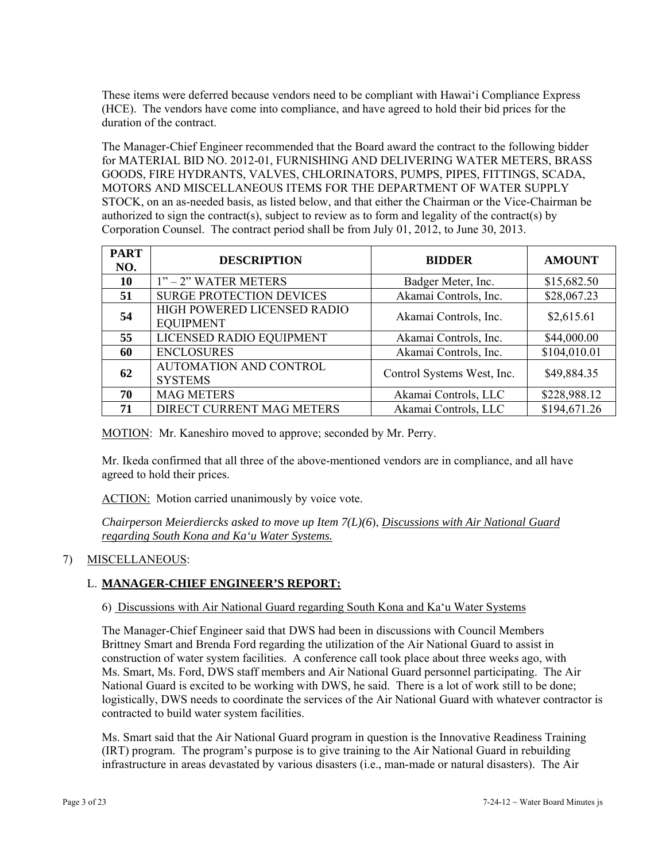These items were deferred because vendors need to be compliant with Hawai'i Compliance Express (HCE). The vendors have come into compliance, and have agreed to hold their bid prices for the duration of the contract.

The Manager-Chief Engineer recommended that the Board award the contract to the following bidder for MATERIAL BID NO. 2012-01, FURNISHING AND DELIVERING WATER METERS, BRASS GOODS, FIRE HYDRANTS, VALVES, CHLORINATORS, PUMPS, PIPES, FITTINGS, SCADA, MOTORS AND MISCELLANEOUS ITEMS FOR THE DEPARTMENT OF WATER SUPPLY STOCK, on an as-needed basis, as listed below, and that either the Chairman or the Vice-Chairman be authorized to sign the contract(s), subject to review as to form and legality of the contract(s) by Corporation Counsel. The contract period shall be from July 01, 2012, to June 30, 2013.

| <b>PART</b><br>NO. | <b>DESCRIPTION</b>                              | <b>BIDDER</b>              | <b>AMOUNT</b> |
|--------------------|-------------------------------------------------|----------------------------|---------------|
| 10                 | $1"$ – 2" WATER METERS                          | Badger Meter, Inc.         | \$15,682.50   |
| 51                 | <b>SURGE PROTECTION DEVICES</b>                 | Akamai Controls, Inc.      | \$28,067.23   |
| 54                 | HIGH POWERED LICENSED RADIO<br><b>EQUIPMENT</b> | Akamai Controls, Inc.      | \$2,615.61    |
| 55                 | LICENSED RADIO EQUIPMENT                        | Akamai Controls, Inc.      | \$44,000.00   |
| 60                 | <b>ENCLOSURES</b>                               | Akamai Controls, Inc.      | \$104,010.01  |
| 62                 | <b>AUTOMATION AND CONTROL</b><br><b>SYSTEMS</b> | Control Systems West, Inc. | \$49,884.35   |
| 70                 | <b>MAG METERS</b>                               | Akamai Controls, LLC       | \$228,988.12  |
| 71                 | DIRECT CURRENT MAG METERS                       | Akamai Controls, LLC       | \$194,671.26  |

MOTION: Mr. Kaneshiro moved to approve; seconded by Mr. Perry.

Mr. Ikeda confirmed that all three of the above-mentioned vendors are in compliance, and all have agreed to hold their prices.

ACTION: Motion carried unanimously by voice vote.

*Chairperson Meierdiercks asked to move up Item 7(L)(6*), *Discussions with Air National Guard regarding South Kona and Ka'u Water Systems.*

# 7) MISCELLANEOUS:

# L. **MANAGER-CHIEF ENGINEER'S REPORT:**

# 6) Discussions with Air National Guard regarding South Kona and Ka'u Water Systems

The Manager-Chief Engineer said that DWS had been in discussions with Council Members Brittney Smart and Brenda Ford regarding the utilization of the Air National Guard to assist in construction of water system facilities. A conference call took place about three weeks ago, with Ms. Smart, Ms. Ford, DWS staff members and Air National Guard personnel participating. The Air National Guard is excited to be working with DWS, he said. There is a lot of work still to be done; logistically, DWS needs to coordinate the services of the Air National Guard with whatever contractor is contracted to build water system facilities.

Ms. Smart said that the Air National Guard program in question is the Innovative Readiness Training (IRT) program. The program's purpose is to give training to the Air National Guard in rebuilding infrastructure in areas devastated by various disasters (i.e., man-made or natural disasters). The Air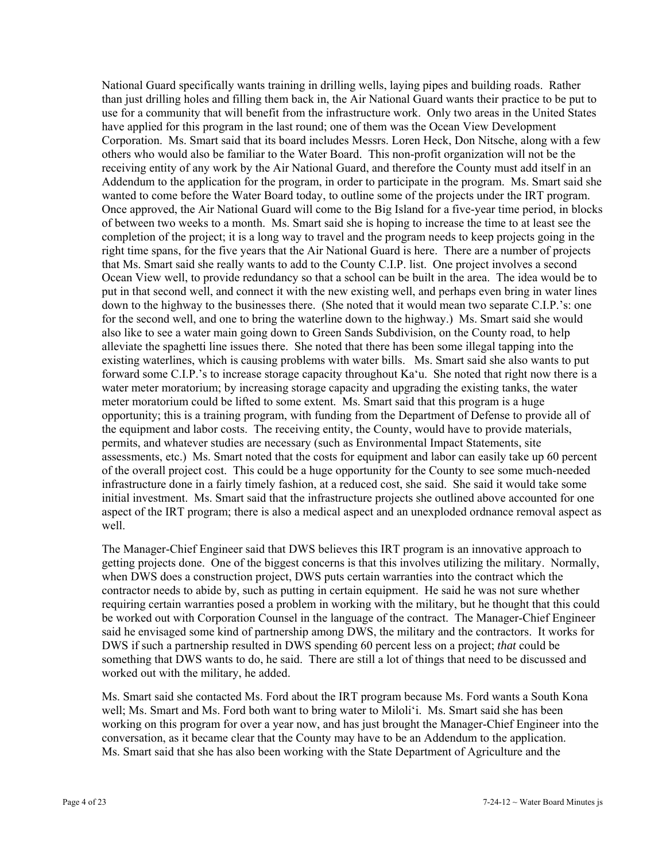National Guard specifically wants training in drilling wells, laying pipes and building roads. Rather than just drilling holes and filling them back in, the Air National Guard wants their practice to be put to use for a community that will benefit from the infrastructure work. Only two areas in the United States have applied for this program in the last round; one of them was the Ocean View Development Corporation. Ms. Smart said that its board includes Messrs. Loren Heck, Don Nitsche, along with a few others who would also be familiar to the Water Board. This non-profit organization will not be the receiving entity of any work by the Air National Guard, and therefore the County must add itself in an Addendum to the application for the program, in order to participate in the program. Ms. Smart said she wanted to come before the Water Board today, to outline some of the projects under the IRT program. Once approved, the Air National Guard will come to the Big Island for a five-year time period, in blocks of between two weeks to a month. Ms. Smart said she is hoping to increase the time to at least see the completion of the project; it is a long way to travel and the program needs to keep projects going in the right time spans, for the five years that the Air National Guard is here. There are a number of projects that Ms. Smart said she really wants to add to the County C.I.P. list. One project involves a second Ocean View well, to provide redundancy so that a school can be built in the area. The idea would be to put in that second well, and connect it with the new existing well, and perhaps even bring in water lines down to the highway to the businesses there. (She noted that it would mean two separate C.I.P.'s: one for the second well, and one to bring the waterline down to the highway.) Ms. Smart said she would also like to see a water main going down to Green Sands Subdivision, on the County road, to help alleviate the spaghetti line issues there. She noted that there has been some illegal tapping into the existing waterlines, which is causing problems with water bills. Ms. Smart said she also wants to put forward some C.I.P.'s to increase storage capacity throughout Ka'u. She noted that right now there is a water meter moratorium; by increasing storage capacity and upgrading the existing tanks, the water meter moratorium could be lifted to some extent. Ms. Smart said that this program is a huge opportunity; this is a training program, with funding from the Department of Defense to provide all of the equipment and labor costs. The receiving entity, the County, would have to provide materials, permits, and whatever studies are necessary (such as Environmental Impact Statements, site assessments, etc.) Ms. Smart noted that the costs for equipment and labor can easily take up 60 percent of the overall project cost. This could be a huge opportunity for the County to see some much-needed infrastructure done in a fairly timely fashion, at a reduced cost, she said. She said it would take some initial investment. Ms. Smart said that the infrastructure projects she outlined above accounted for one aspect of the IRT program; there is also a medical aspect and an unexploded ordnance removal aspect as well.

The Manager-Chief Engineer said that DWS believes this IRT program is an innovative approach to getting projects done. One of the biggest concerns is that this involves utilizing the military. Normally, when DWS does a construction project, DWS puts certain warranties into the contract which the contractor needs to abide by, such as putting in certain equipment. He said he was not sure whether requiring certain warranties posed a problem in working with the military, but he thought that this could be worked out with Corporation Counsel in the language of the contract. The Manager-Chief Engineer said he envisaged some kind of partnership among DWS, the military and the contractors. It works for DWS if such a partnership resulted in DWS spending 60 percent less on a project; *that* could be something that DWS wants to do, he said. There are still a lot of things that need to be discussed and worked out with the military, he added.

Ms. Smart said she contacted Ms. Ford about the IRT program because Ms. Ford wants a South Kona well; Ms. Smart and Ms. Ford both want to bring water to Miloli'i. Ms. Smart said she has been working on this program for over a year now, and has just brought the Manager-Chief Engineer into the conversation, as it became clear that the County may have to be an Addendum to the application. Ms. Smart said that she has also been working with the State Department of Agriculture and the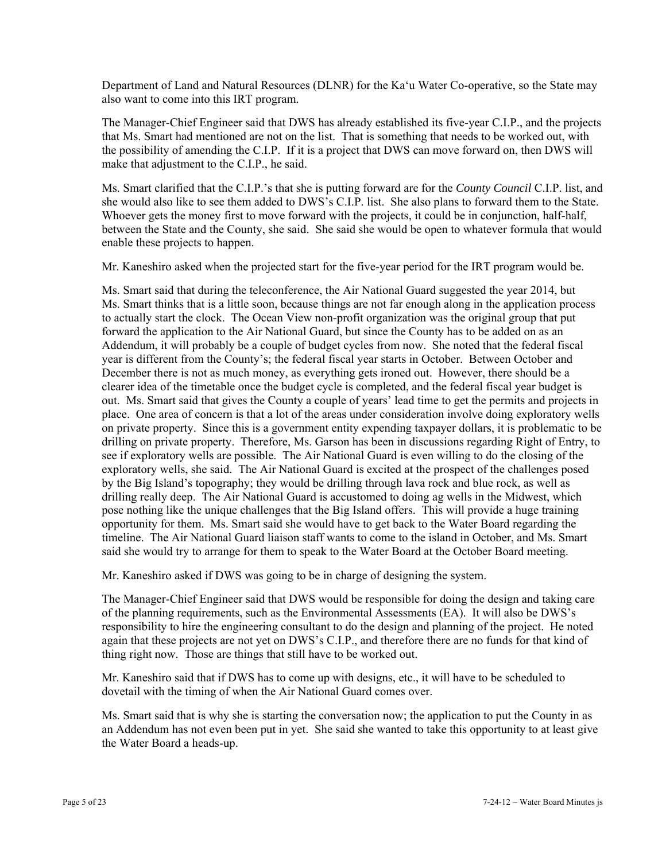Department of Land and Natural Resources (DLNR) for the Ka'u Water Co-operative, so the State may also want to come into this IRT program.

The Manager-Chief Engineer said that DWS has already established its five-year C.I.P., and the projects that Ms. Smart had mentioned are not on the list. That is something that needs to be worked out, with the possibility of amending the C.I.P. If it is a project that DWS can move forward on, then DWS will make that adjustment to the C.I.P., he said.

Ms. Smart clarified that the C.I.P.'s that she is putting forward are for the *County Council* C.I.P. list, and she would also like to see them added to DWS's C.I.P. list. She also plans to forward them to the State. Whoever gets the money first to move forward with the projects, it could be in conjunction, half-half, between the State and the County, she said. She said she would be open to whatever formula that would enable these projects to happen.

Mr. Kaneshiro asked when the projected start for the five-year period for the IRT program would be.

Ms. Smart said that during the teleconference, the Air National Guard suggested the year 2014, but Ms. Smart thinks that is a little soon, because things are not far enough along in the application process to actually start the clock. The Ocean View non-profit organization was the original group that put forward the application to the Air National Guard, but since the County has to be added on as an Addendum, it will probably be a couple of budget cycles from now. She noted that the federal fiscal year is different from the County's; the federal fiscal year starts in October. Between October and December there is not as much money, as everything gets ironed out. However, there should be a clearer idea of the timetable once the budget cycle is completed, and the federal fiscal year budget is out. Ms. Smart said that gives the County a couple of years' lead time to get the permits and projects in place. One area of concern is that a lot of the areas under consideration involve doing exploratory wells on private property. Since this is a government entity expending taxpayer dollars, it is problematic to be drilling on private property. Therefore, Ms. Garson has been in discussions regarding Right of Entry, to see if exploratory wells are possible. The Air National Guard is even willing to do the closing of the exploratory wells, she said. The Air National Guard is excited at the prospect of the challenges posed by the Big Island's topography; they would be drilling through lava rock and blue rock, as well as drilling really deep. The Air National Guard is accustomed to doing ag wells in the Midwest, which pose nothing like the unique challenges that the Big Island offers. This will provide a huge training opportunity for them. Ms. Smart said she would have to get back to the Water Board regarding the timeline. The Air National Guard liaison staff wants to come to the island in October, and Ms. Smart said she would try to arrange for them to speak to the Water Board at the October Board meeting.

Mr. Kaneshiro asked if DWS was going to be in charge of designing the system.

The Manager-Chief Engineer said that DWS would be responsible for doing the design and taking care of the planning requirements, such as the Environmental Assessments (EA). It will also be DWS's responsibility to hire the engineering consultant to do the design and planning of the project. He noted again that these projects are not yet on DWS's C.I.P., and therefore there are no funds for that kind of thing right now. Those are things that still have to be worked out.

Mr. Kaneshiro said that if DWS has to come up with designs, etc., it will have to be scheduled to dovetail with the timing of when the Air National Guard comes over.

Ms. Smart said that is why she is starting the conversation now; the application to put the County in as an Addendum has not even been put in yet. She said she wanted to take this opportunity to at least give the Water Board a heads-up.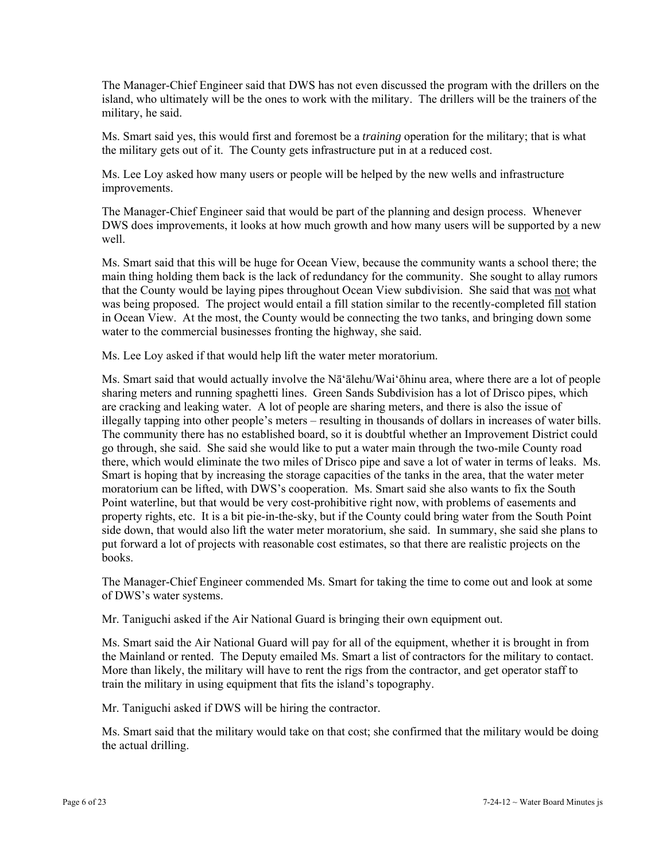The Manager-Chief Engineer said that DWS has not even discussed the program with the drillers on the island, who ultimately will be the ones to work with the military. The drillers will be the trainers of the military, he said.

Ms. Smart said yes, this would first and foremost be a *training* operation for the military; that is what the military gets out of it. The County gets infrastructure put in at a reduced cost.

Ms. Lee Loy asked how many users or people will be helped by the new wells and infrastructure improvements.

The Manager-Chief Engineer said that would be part of the planning and design process. Whenever DWS does improvements, it looks at how much growth and how many users will be supported by a new well.

Ms. Smart said that this will be huge for Ocean View, because the community wants a school there; the main thing holding them back is the lack of redundancy for the community. She sought to allay rumors that the County would be laying pipes throughout Ocean View subdivision. She said that was not what was being proposed. The project would entail a fill station similar to the recently-completed fill station in Ocean View. At the most, the County would be connecting the two tanks, and bringing down some water to the commercial businesses fronting the highway, she said.

Ms. Lee Loy asked if that would help lift the water meter moratorium.

Ms. Smart said that would actually involve the Nā'ālehu/Wai'ōhinu area, where there are a lot of people sharing meters and running spaghetti lines. Green Sands Subdivision has a lot of Drisco pipes, which are cracking and leaking water. A lot of people are sharing meters, and there is also the issue of illegally tapping into other people's meters – resulting in thousands of dollars in increases of water bills. The community there has no established board, so it is doubtful whether an Improvement District could go through, she said. She said she would like to put a water main through the two-mile County road there, which would eliminate the two miles of Drisco pipe and save a lot of water in terms of leaks. Ms. Smart is hoping that by increasing the storage capacities of the tanks in the area, that the water meter moratorium can be lifted, with DWS's cooperation. Ms. Smart said she also wants to fix the South Point waterline, but that would be very cost-prohibitive right now, with problems of easements and property rights, etc. It is a bit pie-in-the-sky, but if the County could bring water from the South Point side down, that would also lift the water meter moratorium, she said. In summary, she said she plans to put forward a lot of projects with reasonable cost estimates, so that there are realistic projects on the books.

The Manager-Chief Engineer commended Ms. Smart for taking the time to come out and look at some of DWS's water systems.

Mr. Taniguchi asked if the Air National Guard is bringing their own equipment out.

Ms. Smart said the Air National Guard will pay for all of the equipment, whether it is brought in from the Mainland or rented. The Deputy emailed Ms. Smart a list of contractors for the military to contact. More than likely, the military will have to rent the rigs from the contractor, and get operator staff to train the military in using equipment that fits the island's topography.

Mr. Taniguchi asked if DWS will be hiring the contractor.

Ms. Smart said that the military would take on that cost; she confirmed that the military would be doing the actual drilling.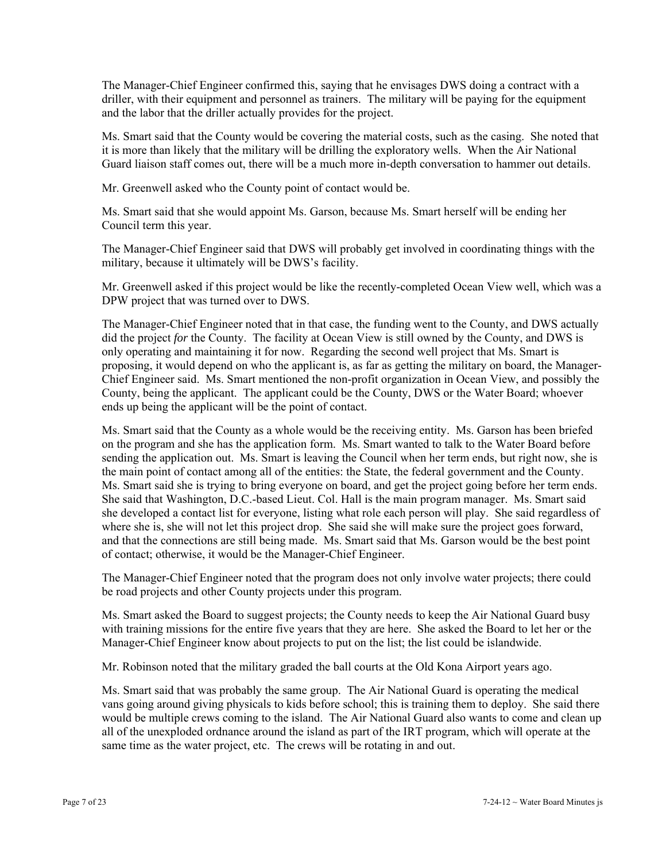The Manager-Chief Engineer confirmed this, saying that he envisages DWS doing a contract with a driller, with their equipment and personnel as trainers. The military will be paying for the equipment and the labor that the driller actually provides for the project.

Ms. Smart said that the County would be covering the material costs, such as the casing. She noted that it is more than likely that the military will be drilling the exploratory wells. When the Air National Guard liaison staff comes out, there will be a much more in-depth conversation to hammer out details.

Mr. Greenwell asked who the County point of contact would be.

Ms. Smart said that she would appoint Ms. Garson, because Ms. Smart herself will be ending her Council term this year.

The Manager-Chief Engineer said that DWS will probably get involved in coordinating things with the military, because it ultimately will be DWS's facility.

Mr. Greenwell asked if this project would be like the recently-completed Ocean View well, which was a DPW project that was turned over to DWS.

The Manager-Chief Engineer noted that in that case, the funding went to the County, and DWS actually did the project *for* the County. The facility at Ocean View is still owned by the County, and DWS is only operating and maintaining it for now. Regarding the second well project that Ms. Smart is proposing, it would depend on who the applicant is, as far as getting the military on board, the Manager-Chief Engineer said. Ms. Smart mentioned the non-profit organization in Ocean View, and possibly the County, being the applicant. The applicant could be the County, DWS or the Water Board; whoever ends up being the applicant will be the point of contact.

Ms. Smart said that the County as a whole would be the receiving entity. Ms. Garson has been briefed on the program and she has the application form. Ms. Smart wanted to talk to the Water Board before sending the application out. Ms. Smart is leaving the Council when her term ends, but right now, she is the main point of contact among all of the entities: the State, the federal government and the County. Ms. Smart said she is trying to bring everyone on board, and get the project going before her term ends. She said that Washington, D.C.-based Lieut. Col. Hall is the main program manager. Ms. Smart said she developed a contact list for everyone, listing what role each person will play. She said regardless of where she is, she will not let this project drop. She said she will make sure the project goes forward, and that the connections are still being made. Ms. Smart said that Ms. Garson would be the best point of contact; otherwise, it would be the Manager-Chief Engineer.

The Manager-Chief Engineer noted that the program does not only involve water projects; there could be road projects and other County projects under this program.

Ms. Smart asked the Board to suggest projects; the County needs to keep the Air National Guard busy with training missions for the entire five years that they are here. She asked the Board to let her or the Manager-Chief Engineer know about projects to put on the list; the list could be islandwide.

Mr. Robinson noted that the military graded the ball courts at the Old Kona Airport years ago.

Ms. Smart said that was probably the same group. The Air National Guard is operating the medical vans going around giving physicals to kids before school; this is training them to deploy. She said there would be multiple crews coming to the island. The Air National Guard also wants to come and clean up all of the unexploded ordnance around the island as part of the IRT program, which will operate at the same time as the water project, etc. The crews will be rotating in and out.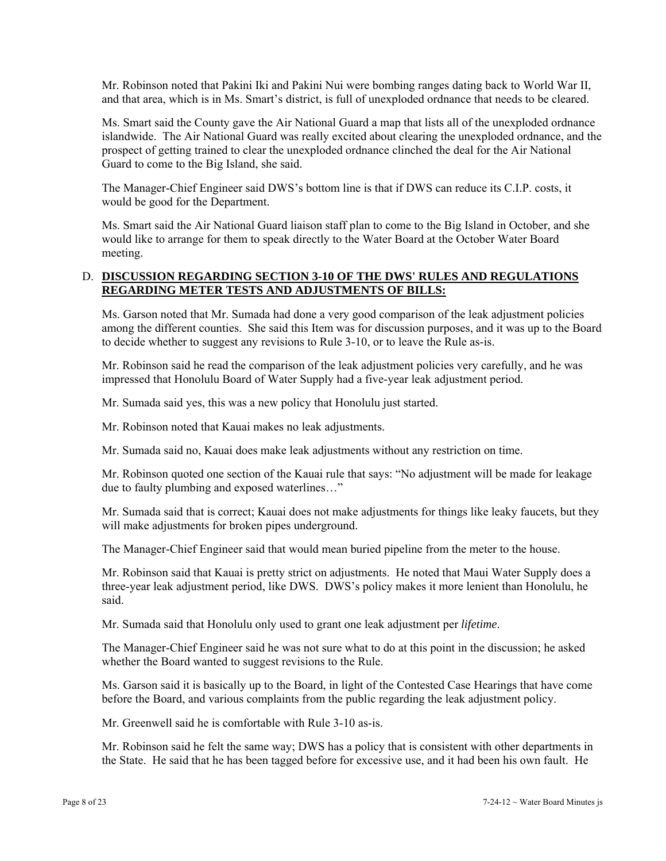Mr. Robinson noted that Pakini Iki and Pakini Nui were bombing ranges dating back to World War II, and that area, which is in Ms. Smart's district, is full of unexploded ordnance that needs to be cleared.

Ms. Smart said the County gave the Air National Guard a map that lists all of the unexploded ordnance islandwide. The Air National Guard was really excited about clearing the unexploded ordnance, and the prospect of getting trained to clear the unexploded ordnance clinched the deal for the Air National Guard to come to the Big Island, she said.

The Manager-Chief Engineer said DWS's bottom line is that if DWS can reduce its C.I.P. costs, it would be good for the Department.

Ms. Smart said the Air National Guard liaison staff plan to come to the Big Island in October, and she would like to arrange for them to speak directly to the Water Board at the October Water Board meeting.

# D. **DISCUSSION REGARDING SECTION 3-10 OF THE DWS' RULES AND REGULATIONS REGARDING METER TESTS AND ADJUSTMENTS OF BILLS:**

Ms. Garson noted that Mr. Sumada had done a very good comparison of the leak adjustment policies among the different counties. She said this Item was for discussion purposes, and it was up to the Board to decide whether to suggest any revisions to Rule 3-10, or to leave the Rule as-is.

Mr. Robinson said he read the comparison of the leak adjustment policies very carefully, and he was impressed that Honolulu Board of Water Supply had a five-year leak adjustment period.

Mr. Sumada said yes, this was a new policy that Honolulu just started.

Mr. Robinson noted that Kauai makes no leak adjustments.

Mr. Sumada said no, Kauai does make leak adjustments without any restriction on time.

Mr. Robinson quoted one section of the Kauai rule that says: "No adjustment will be made for leakage due to faulty plumbing and exposed waterlines…"

Mr. Sumada said that is correct; Kauai does not make adjustments for things like leaky faucets, but they will make adjustments for broken pipes underground.

The Manager-Chief Engineer said that would mean buried pipeline from the meter to the house.

Mr. Robinson said that Kauai is pretty strict on adjustments. He noted that Maui Water Supply does a three-year leak adjustment period, like DWS. DWS's policy makes it more lenient than Honolulu, he said.

Mr. Sumada said that Honolulu only used to grant one leak adjustment per *lifetime*.

The Manager-Chief Engineer said he was not sure what to do at this point in the discussion; he asked whether the Board wanted to suggest revisions to the Rule.

Ms. Garson said it is basically up to the Board, in light of the Contested Case Hearings that have come before the Board, and various complaints from the public regarding the leak adjustment policy.

Mr. Greenwell said he is comfortable with Rule 3-10 as-is.

Mr. Robinson said he felt the same way; DWS has a policy that is consistent with other departments in the State. He said that he has been tagged before for excessive use, and it had been his own fault. He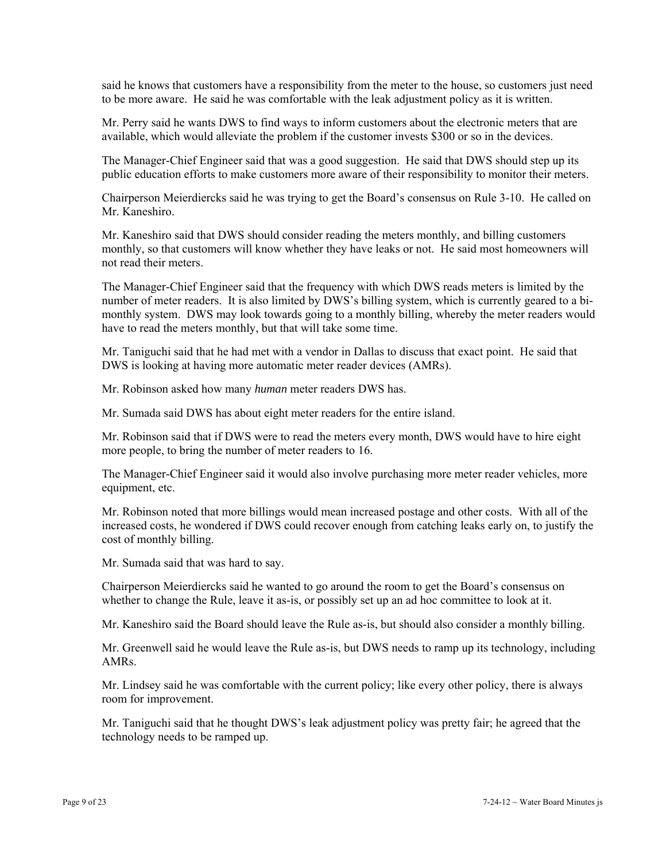said he knows that customers have a responsibility from the meter to the house, so customers just need to be more aware. He said he was comfortable with the leak adjustment policy as it is written.

Mr. Perry said he wants DWS to find ways to inform customers about the electronic meters that are available, which would alleviate the problem if the customer invests \$300 or so in the devices.

The Manager-Chief Engineer said that was a good suggestion. He said that DWS should step up its public education efforts to make customers more aware of their responsibility to monitor their meters.

Chairperson Meierdiercks said he was trying to get the Board's consensus on Rule 3-10. He called on Mr. Kaneshiro.

Mr. Kaneshiro said that DWS should consider reading the meters monthly, and billing customers monthly, so that customers will know whether they have leaks or not. He said most homeowners will not read their meters.

The Manager-Chief Engineer said that the frequency with which DWS reads meters is limited by the number of meter readers. It is also limited by DWS's billing system, which is currently geared to a bimonthly system. DWS may look towards going to a monthly billing, whereby the meter readers would have to read the meters monthly, but that will take some time.

Mr. Taniguchi said that he had met with a vendor in Dallas to discuss that exact point. He said that DWS is looking at having more automatic meter reader devices (AMRs).

Mr. Robinson asked how many *human* meter readers DWS has.

Mr. Sumada said DWS has about eight meter readers for the entire island.

Mr. Robinson said that if DWS were to read the meters every month, DWS would have to hire eight more people, to bring the number of meter readers to 16.

The Manager-Chief Engineer said it would also involve purchasing more meter reader vehicles, more equipment, etc.

Mr. Robinson noted that more billings would mean increased postage and other costs. With all of the increased costs, he wondered if DWS could recover enough from catching leaks early on, to justify the cost of monthly billing.

Mr. Sumada said that was hard to say.

Chairperson Meierdiercks said he wanted to go around the room to get the Board's consensus on whether to change the Rule, leave it as-is, or possibly set up an ad hoc committee to look at it.

Mr. Kaneshiro said the Board should leave the Rule as-is, but should also consider a monthly billing.

Mr. Greenwell said he would leave the Rule as-is, but DWS needs to ramp up its technology, including AMRs.

Mr. Lindsey said he was comfortable with the current policy; like every other policy, there is always room for improvement.

Mr. Taniguchi said that he thought DWS's leak adjustment policy was pretty fair; he agreed that the technology needs to be ramped up.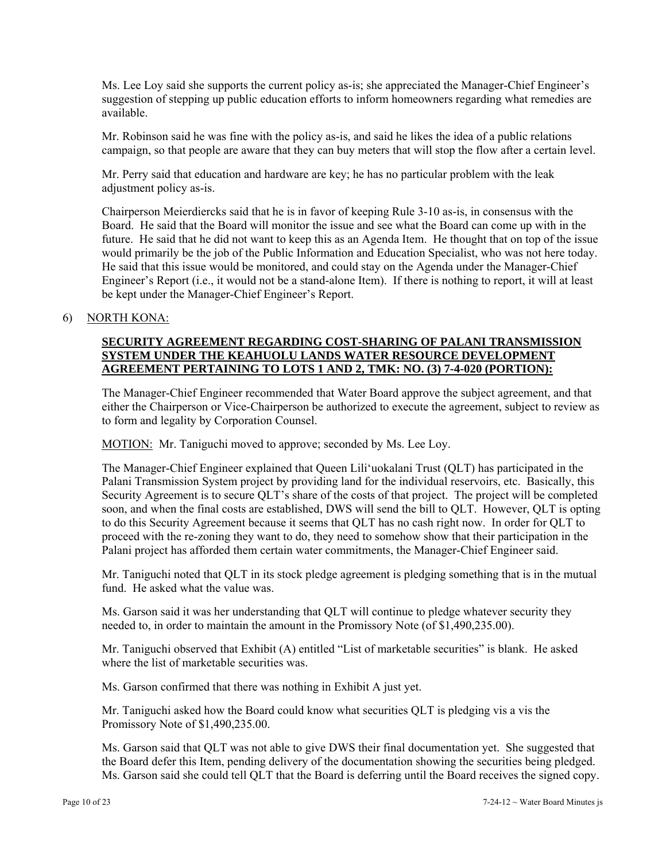Ms. Lee Loy said she supports the current policy as-is; she appreciated the Manager-Chief Engineer's suggestion of stepping up public education efforts to inform homeowners regarding what remedies are available.

Mr. Robinson said he was fine with the policy as-is, and said he likes the idea of a public relations campaign, so that people are aware that they can buy meters that will stop the flow after a certain level.

Mr. Perry said that education and hardware are key; he has no particular problem with the leak adjustment policy as-is.

Chairperson Meierdiercks said that he is in favor of keeping Rule 3-10 as-is, in consensus with the Board. He said that the Board will monitor the issue and see what the Board can come up with in the future. He said that he did not want to keep this as an Agenda Item. He thought that on top of the issue would primarily be the job of the Public Information and Education Specialist, who was not here today. He said that this issue would be monitored, and could stay on the Agenda under the Manager-Chief Engineer's Report (i.e., it would not be a stand-alone Item). If there is nothing to report, it will at least be kept under the Manager-Chief Engineer's Report.

#### 6) NORTH KONA:

# **SECURITY AGREEMENT REGARDING COST-SHARING OF PALANI TRANSMISSION SYSTEM UNDER THE KEAHUOLU LANDS WATER RESOURCE DEVELOPMENT AGREEMENT PERTAINING TO LOTS 1 AND 2, TMK: NO. (3) 7-4-020 (PORTION):**

The Manager-Chief Engineer recommended that Water Board approve the subject agreement, and that either the Chairperson or Vice-Chairperson be authorized to execute the agreement, subject to review as to form and legality by Corporation Counsel.

MOTION: Mr. Taniguchi moved to approve; seconded by Ms. Lee Loy.

The Manager-Chief Engineer explained that Queen Lili'uokalani Trust (QLT) has participated in the Palani Transmission System project by providing land for the individual reservoirs, etc. Basically, this Security Agreement is to secure QLT's share of the costs of that project. The project will be completed soon, and when the final costs are established, DWS will send the bill to QLT. However, QLT is opting to do this Security Agreement because it seems that QLT has no cash right now. In order for QLT to proceed with the re-zoning they want to do, they need to somehow show that their participation in the Palani project has afforded them certain water commitments, the Manager-Chief Engineer said.

Mr. Taniguchi noted that QLT in its stock pledge agreement is pledging something that is in the mutual fund. He asked what the value was.

Ms. Garson said it was her understanding that QLT will continue to pledge whatever security they needed to, in order to maintain the amount in the Promissory Note (of \$1,490,235.00).

Mr. Taniguchi observed that Exhibit (A) entitled "List of marketable securities" is blank. He asked where the list of marketable securities was.

Ms. Garson confirmed that there was nothing in Exhibit A just yet.

Mr. Taniguchi asked how the Board could know what securities QLT is pledging vis a vis the Promissory Note of \$1,490,235.00.

Ms. Garson said that QLT was not able to give DWS their final documentation yet. She suggested that the Board defer this Item, pending delivery of the documentation showing the securities being pledged. Ms. Garson said she could tell QLT that the Board is deferring until the Board receives the signed copy.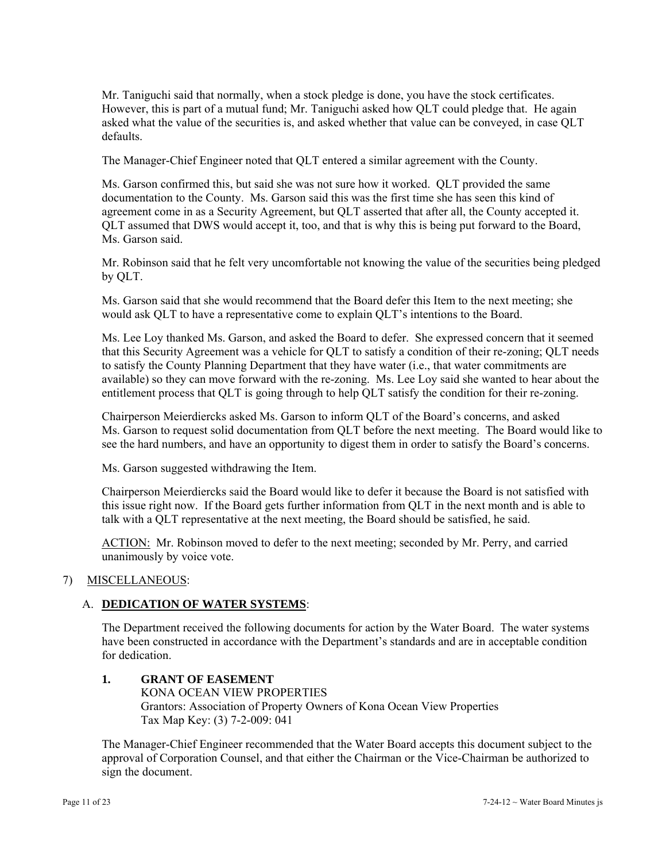Mr. Taniguchi said that normally, when a stock pledge is done, you have the stock certificates. However, this is part of a mutual fund; Mr. Taniguchi asked how QLT could pledge that. He again asked what the value of the securities is, and asked whether that value can be conveyed, in case QLT defaults.

The Manager-Chief Engineer noted that QLT entered a similar agreement with the County.

Ms. Garson confirmed this, but said she was not sure how it worked. QLT provided the same documentation to the County. Ms. Garson said this was the first time she has seen this kind of agreement come in as a Security Agreement, but QLT asserted that after all, the County accepted it. QLT assumed that DWS would accept it, too, and that is why this is being put forward to the Board, Ms. Garson said.

Mr. Robinson said that he felt very uncomfortable not knowing the value of the securities being pledged by QLT.

Ms. Garson said that she would recommend that the Board defer this Item to the next meeting; she would ask QLT to have a representative come to explain QLT's intentions to the Board.

Ms. Lee Loy thanked Ms. Garson, and asked the Board to defer. She expressed concern that it seemed that this Security Agreement was a vehicle for QLT to satisfy a condition of their re-zoning; QLT needs to satisfy the County Planning Department that they have water (i.e., that water commitments are available) so they can move forward with the re-zoning. Ms. Lee Loy said she wanted to hear about the entitlement process that QLT is going through to help QLT satisfy the condition for their re-zoning.

Chairperson Meierdiercks asked Ms. Garson to inform QLT of the Board's concerns, and asked Ms. Garson to request solid documentation from QLT before the next meeting. The Board would like to see the hard numbers, and have an opportunity to digest them in order to satisfy the Board's concerns.

Ms. Garson suggested withdrawing the Item.

Chairperson Meierdiercks said the Board would like to defer it because the Board is not satisfied with this issue right now. If the Board gets further information from QLT in the next month and is able to talk with a QLT representative at the next meeting, the Board should be satisfied, he said.

ACTION: Mr. Robinson moved to defer to the next meeting; seconded by Mr. Perry, and carried unanimously by voice vote.

# 7) MISCELLANEOUS:

# A. **DEDICATION OF WATER SYSTEMS**:

The Department received the following documents for action by the Water Board. The water systems have been constructed in accordance with the Department's standards and are in acceptable condition for dedication.

**1. GRANT OF EASEMENT**  KONA OCEAN VIEW PROPERTIES Grantors: Association of Property Owners of Kona Ocean View Properties Tax Map Key: (3) 7-2-009: 041

The Manager-Chief Engineer recommended that the Water Board accepts this document subject to the approval of Corporation Counsel, and that either the Chairman or the Vice-Chairman be authorized to sign the document.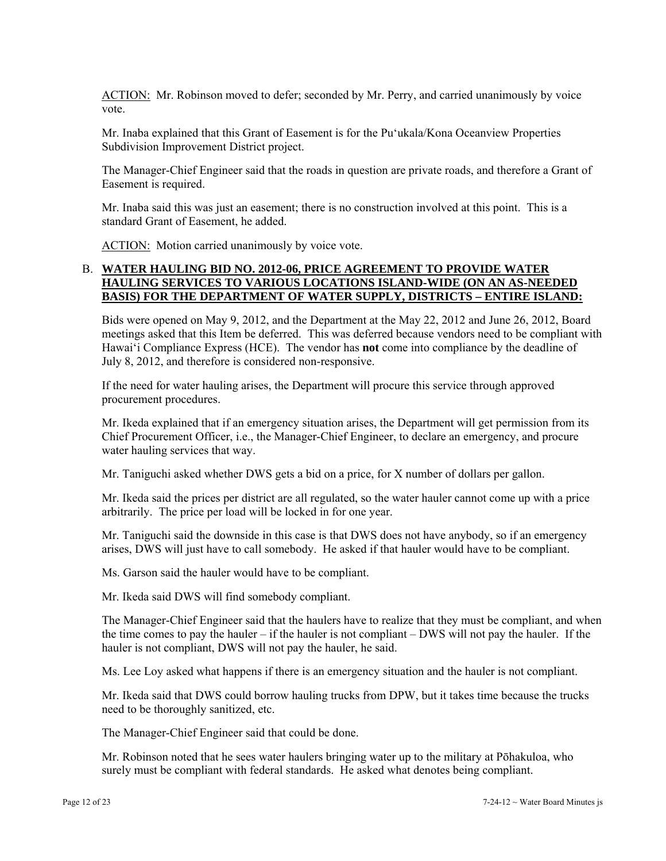ACTION: Mr. Robinson moved to defer; seconded by Mr. Perry, and carried unanimously by voice vote.

Mr. Inaba explained that this Grant of Easement is for the Pu'ukala/Kona Oceanview Properties Subdivision Improvement District project.

The Manager-Chief Engineer said that the roads in question are private roads, and therefore a Grant of Easement is required.

Mr. Inaba said this was just an easement; there is no construction involved at this point. This is a standard Grant of Easement, he added.

ACTION: Motion carried unanimously by voice vote.

# B. **WATER HAULING BID NO. 2012-06, PRICE AGREEMENT TO PROVIDE WATER HAULING SERVICES TO VARIOUS LOCATIONS ISLAND-WIDE (ON AN AS-NEEDED BASIS) FOR THE DEPARTMENT OF WATER SUPPLY, DISTRICTS – ENTIRE ISLAND:**

Bids were opened on May 9, 2012, and the Department at the May 22, 2012 and June 26, 2012, Board meetings asked that this Item be deferred. This was deferred because vendors need to be compliant with Hawai'i Compliance Express (HCE). The vendor has **not** come into compliance by the deadline of July 8, 2012, and therefore is considered non-responsive.

If the need for water hauling arises, the Department will procure this service through approved procurement procedures.

Mr. Ikeda explained that if an emergency situation arises, the Department will get permission from its Chief Procurement Officer, i.e., the Manager-Chief Engineer, to declare an emergency, and procure water hauling services that way.

Mr. Taniguchi asked whether DWS gets a bid on a price, for X number of dollars per gallon.

Mr. Ikeda said the prices per district are all regulated, so the water hauler cannot come up with a price arbitrarily. The price per load will be locked in for one year.

Mr. Taniguchi said the downside in this case is that DWS does not have anybody, so if an emergency arises, DWS will just have to call somebody. He asked if that hauler would have to be compliant.

Ms. Garson said the hauler would have to be compliant.

Mr. Ikeda said DWS will find somebody compliant.

The Manager-Chief Engineer said that the haulers have to realize that they must be compliant, and when the time comes to pay the hauler – if the hauler is not compliant – DWS will not pay the hauler. If the hauler is not compliant, DWS will not pay the hauler, he said.

Ms. Lee Loy asked what happens if there is an emergency situation and the hauler is not compliant.

Mr. Ikeda said that DWS could borrow hauling trucks from DPW, but it takes time because the trucks need to be thoroughly sanitized, etc.

The Manager-Chief Engineer said that could be done.

Mr. Robinson noted that he sees water haulers bringing water up to the military at Pōhakuloa, who surely must be compliant with federal standards. He asked what denotes being compliant.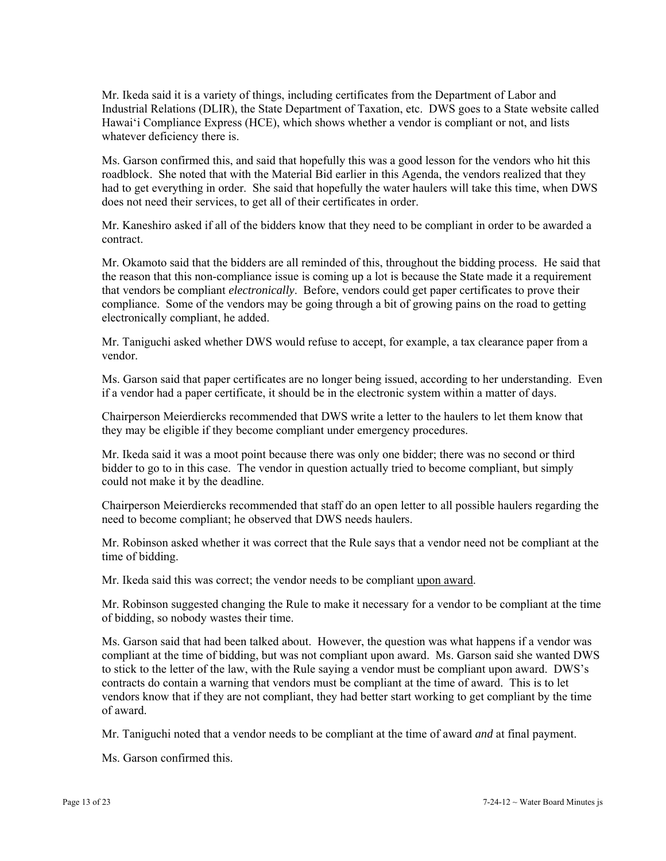Mr. Ikeda said it is a variety of things, including certificates from the Department of Labor and Industrial Relations (DLIR), the State Department of Taxation, etc. DWS goes to a State website called Hawai'i Compliance Express (HCE), which shows whether a vendor is compliant or not, and lists whatever deficiency there is.

Ms. Garson confirmed this, and said that hopefully this was a good lesson for the vendors who hit this roadblock. She noted that with the Material Bid earlier in this Agenda, the vendors realized that they had to get everything in order. She said that hopefully the water haulers will take this time, when DWS does not need their services, to get all of their certificates in order.

Mr. Kaneshiro asked if all of the bidders know that they need to be compliant in order to be awarded a contract.

Mr. Okamoto said that the bidders are all reminded of this, throughout the bidding process. He said that the reason that this non-compliance issue is coming up a lot is because the State made it a requirement that vendors be compliant *electronically*. Before, vendors could get paper certificates to prove their compliance. Some of the vendors may be going through a bit of growing pains on the road to getting electronically compliant, he added.

Mr. Taniguchi asked whether DWS would refuse to accept, for example, a tax clearance paper from a vendor.

Ms. Garson said that paper certificates are no longer being issued, according to her understanding. Even if a vendor had a paper certificate, it should be in the electronic system within a matter of days.

Chairperson Meierdiercks recommended that DWS write a letter to the haulers to let them know that they may be eligible if they become compliant under emergency procedures.

Mr. Ikeda said it was a moot point because there was only one bidder; there was no second or third bidder to go to in this case. The vendor in question actually tried to become compliant, but simply could not make it by the deadline.

Chairperson Meierdiercks recommended that staff do an open letter to all possible haulers regarding the need to become compliant; he observed that DWS needs haulers.

Mr. Robinson asked whether it was correct that the Rule says that a vendor need not be compliant at the time of bidding.

Mr. Ikeda said this was correct; the vendor needs to be compliant upon award.

Mr. Robinson suggested changing the Rule to make it necessary for a vendor to be compliant at the time of bidding, so nobody wastes their time.

Ms. Garson said that had been talked about. However, the question was what happens if a vendor was compliant at the time of bidding, but was not compliant upon award. Ms. Garson said she wanted DWS to stick to the letter of the law, with the Rule saying a vendor must be compliant upon award. DWS's contracts do contain a warning that vendors must be compliant at the time of award. This is to let vendors know that if they are not compliant, they had better start working to get compliant by the time of award.

Mr. Taniguchi noted that a vendor needs to be compliant at the time of award *and* at final payment.

Ms. Garson confirmed this.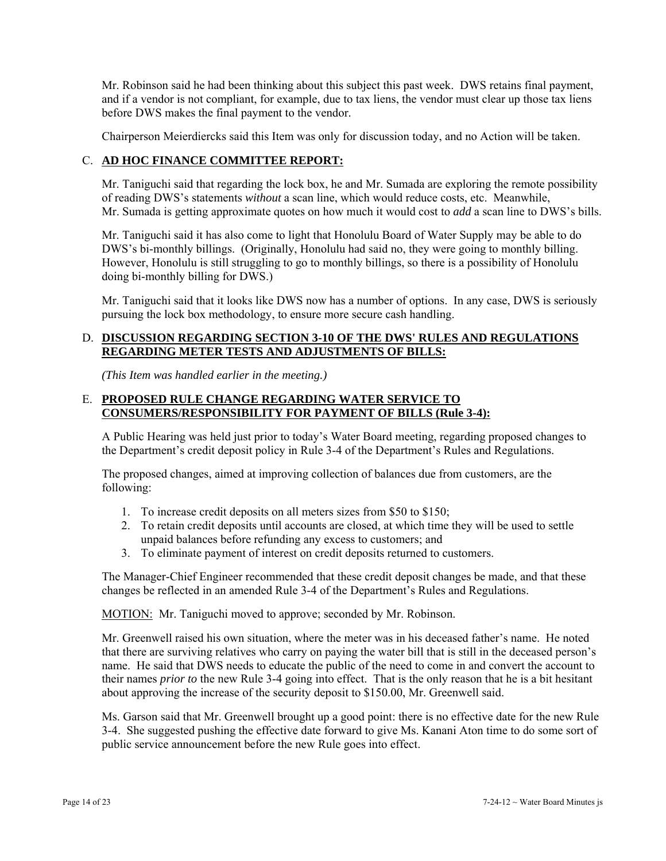Mr. Robinson said he had been thinking about this subject this past week. DWS retains final payment, and if a vendor is not compliant, for example, due to tax liens, the vendor must clear up those tax liens before DWS makes the final payment to the vendor.

Chairperson Meierdiercks said this Item was only for discussion today, and no Action will be taken.

# C. **AD HOC FINANCE COMMITTEE REPORT:**

Mr. Taniguchi said that regarding the lock box, he and Mr. Sumada are exploring the remote possibility of reading DWS's statements *without* a scan line, which would reduce costs, etc. Meanwhile, Mr. Sumada is getting approximate quotes on how much it would cost to *add* a scan line to DWS's bills.

Mr. Taniguchi said it has also come to light that Honolulu Board of Water Supply may be able to do DWS's bi-monthly billings. (Originally, Honolulu had said no, they were going to monthly billing. However, Honolulu is still struggling to go to monthly billings, so there is a possibility of Honolulu doing bi-monthly billing for DWS.)

Mr. Taniguchi said that it looks like DWS now has a number of options. In any case, DWS is seriously pursuing the lock box methodology, to ensure more secure cash handling.

# D. **DISCUSSION REGARDING SECTION 3-10 OF THE DWS' RULES AND REGULATIONS REGARDING METER TESTS AND ADJUSTMENTS OF BILLS:**

*(This Item was handled earlier in the meeting.)* 

# E. **PROPOSED RULE CHANGE REGARDING WATER SERVICE TO CONSUMERS/RESPONSIBILITY FOR PAYMENT OF BILLS (Rule 3-4):**

A Public Hearing was held just prior to today's Water Board meeting, regarding proposed changes to the Department's credit deposit policy in Rule 3-4 of the Department's Rules and Regulations.

The proposed changes, aimed at improving collection of balances due from customers, are the following:

- 1. To increase credit deposits on all meters sizes from \$50 to \$150;
- 2. To retain credit deposits until accounts are closed, at which time they will be used to settle unpaid balances before refunding any excess to customers; and
- 3. To eliminate payment of interest on credit deposits returned to customers.

The Manager-Chief Engineer recommended that these credit deposit changes be made, and that these changes be reflected in an amended Rule 3-4 of the Department's Rules and Regulations.

MOTION: Mr. Taniguchi moved to approve; seconded by Mr. Robinson.

Mr. Greenwell raised his own situation, where the meter was in his deceased father's name. He noted that there are surviving relatives who carry on paying the water bill that is still in the deceased person's name. He said that DWS needs to educate the public of the need to come in and convert the account to their names *prior to* the new Rule 3-4 going into effect. That is the only reason that he is a bit hesitant about approving the increase of the security deposit to \$150.00, Mr. Greenwell said.

Ms. Garson said that Mr. Greenwell brought up a good point: there is no effective date for the new Rule 3-4. She suggested pushing the effective date forward to give Ms. Kanani Aton time to do some sort of public service announcement before the new Rule goes into effect.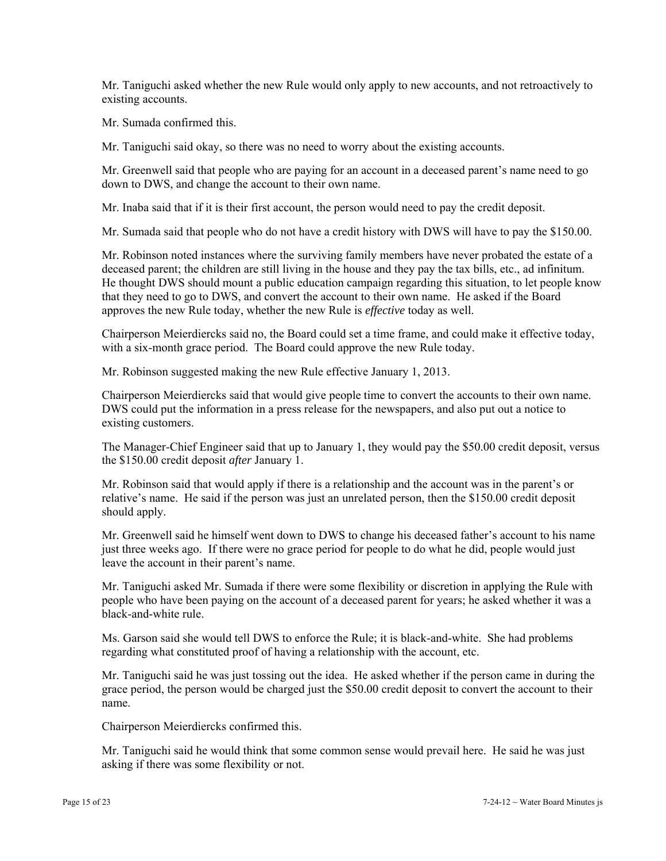Mr. Taniguchi asked whether the new Rule would only apply to new accounts, and not retroactively to existing accounts.

Mr. Sumada confirmed this.

Mr. Taniguchi said okay, so there was no need to worry about the existing accounts.

Mr. Greenwell said that people who are paying for an account in a deceased parent's name need to go down to DWS, and change the account to their own name.

Mr. Inaba said that if it is their first account, the person would need to pay the credit deposit.

Mr. Sumada said that people who do not have a credit history with DWS will have to pay the \$150.00.

Mr. Robinson noted instances where the surviving family members have never probated the estate of a deceased parent; the children are still living in the house and they pay the tax bills, etc., ad infinitum. He thought DWS should mount a public education campaign regarding this situation, to let people know that they need to go to DWS, and convert the account to their own name. He asked if the Board approves the new Rule today, whether the new Rule is *effective* today as well.

Chairperson Meierdiercks said no, the Board could set a time frame, and could make it effective today, with a six-month grace period. The Board could approve the new Rule today.

Mr. Robinson suggested making the new Rule effective January 1, 2013.

Chairperson Meierdiercks said that would give people time to convert the accounts to their own name. DWS could put the information in a press release for the newspapers, and also put out a notice to existing customers.

The Manager-Chief Engineer said that up to January 1, they would pay the \$50.00 credit deposit, versus the \$150.00 credit deposit *after* January 1.

Mr. Robinson said that would apply if there is a relationship and the account was in the parent's or relative's name. He said if the person was just an unrelated person, then the \$150.00 credit deposit should apply.

Mr. Greenwell said he himself went down to DWS to change his deceased father's account to his name just three weeks ago. If there were no grace period for people to do what he did, people would just leave the account in their parent's name.

Mr. Taniguchi asked Mr. Sumada if there were some flexibility or discretion in applying the Rule with people who have been paying on the account of a deceased parent for years; he asked whether it was a black-and-white rule.

Ms. Garson said she would tell DWS to enforce the Rule; it is black-and-white. She had problems regarding what constituted proof of having a relationship with the account, etc.

Mr. Taniguchi said he was just tossing out the idea. He asked whether if the person came in during the grace period, the person would be charged just the \$50.00 credit deposit to convert the account to their name.

Chairperson Meierdiercks confirmed this.

Mr. Taniguchi said he would think that some common sense would prevail here. He said he was just asking if there was some flexibility or not.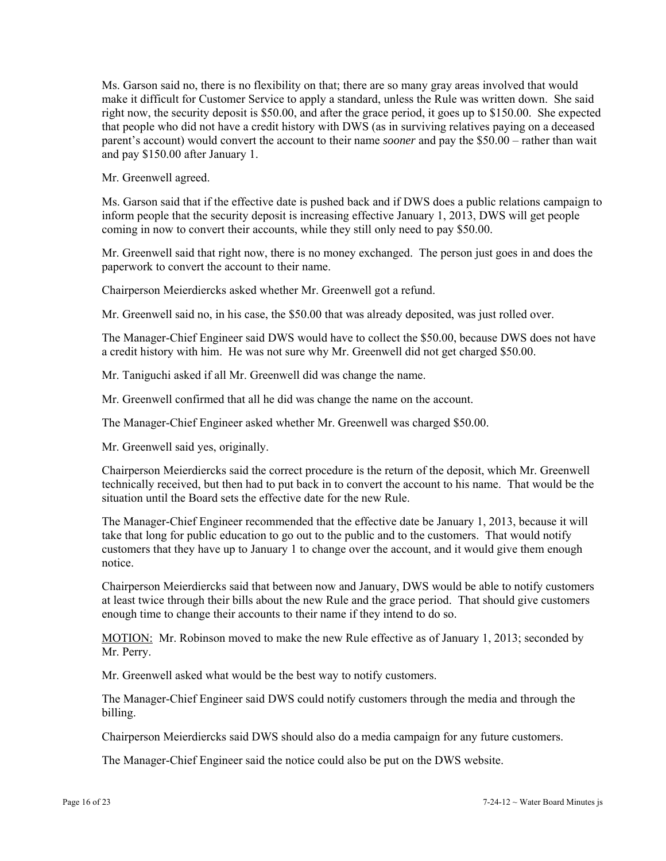Ms. Garson said no, there is no flexibility on that; there are so many gray areas involved that would make it difficult for Customer Service to apply a standard, unless the Rule was written down. She said right now, the security deposit is \$50.00, and after the grace period, it goes up to \$150.00. She expected that people who did not have a credit history with DWS (as in surviving relatives paying on a deceased parent's account) would convert the account to their name *sooner* and pay the \$50.00 – rather than wait and pay \$150.00 after January 1.

Mr. Greenwell agreed.

Ms. Garson said that if the effective date is pushed back and if DWS does a public relations campaign to inform people that the security deposit is increasing effective January 1, 2013, DWS will get people coming in now to convert their accounts, while they still only need to pay \$50.00.

Mr. Greenwell said that right now, there is no money exchanged. The person just goes in and does the paperwork to convert the account to their name.

Chairperson Meierdiercks asked whether Mr. Greenwell got a refund.

Mr. Greenwell said no, in his case, the \$50.00 that was already deposited, was just rolled over.

The Manager-Chief Engineer said DWS would have to collect the \$50.00, because DWS does not have a credit history with him. He was not sure why Mr. Greenwell did not get charged \$50.00.

Mr. Taniguchi asked if all Mr. Greenwell did was change the name.

Mr. Greenwell confirmed that all he did was change the name on the account.

The Manager-Chief Engineer asked whether Mr. Greenwell was charged \$50.00.

Mr. Greenwell said yes, originally.

Chairperson Meierdiercks said the correct procedure is the return of the deposit, which Mr. Greenwell technically received, but then had to put back in to convert the account to his name. That would be the situation until the Board sets the effective date for the new Rule.

The Manager-Chief Engineer recommended that the effective date be January 1, 2013, because it will take that long for public education to go out to the public and to the customers. That would notify customers that they have up to January 1 to change over the account, and it would give them enough notice.

Chairperson Meierdiercks said that between now and January, DWS would be able to notify customers at least twice through their bills about the new Rule and the grace period. That should give customers enough time to change their accounts to their name if they intend to do so.

MOTION: Mr. Robinson moved to make the new Rule effective as of January 1, 2013; seconded by Mr. Perry.

Mr. Greenwell asked what would be the best way to notify customers.

The Manager-Chief Engineer said DWS could notify customers through the media and through the billing.

Chairperson Meierdiercks said DWS should also do a media campaign for any future customers.

The Manager-Chief Engineer said the notice could also be put on the DWS website.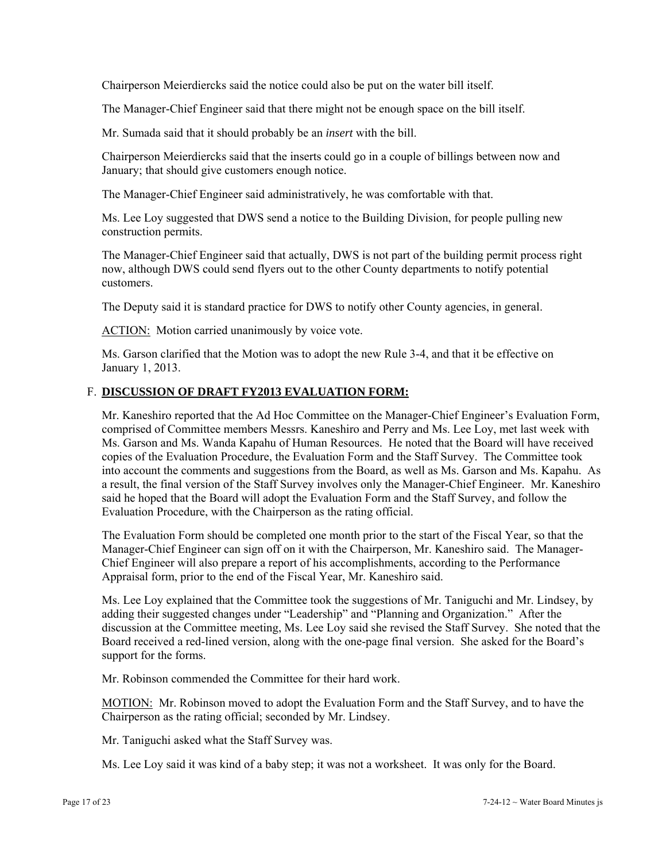Chairperson Meierdiercks said the notice could also be put on the water bill itself.

The Manager-Chief Engineer said that there might not be enough space on the bill itself.

Mr. Sumada said that it should probably be an *insert* with the bill.

Chairperson Meierdiercks said that the inserts could go in a couple of billings between now and January; that should give customers enough notice.

The Manager-Chief Engineer said administratively, he was comfortable with that.

Ms. Lee Loy suggested that DWS send a notice to the Building Division, for people pulling new construction permits.

The Manager-Chief Engineer said that actually, DWS is not part of the building permit process right now, although DWS could send flyers out to the other County departments to notify potential customers.

The Deputy said it is standard practice for DWS to notify other County agencies, in general.

ACTION: Motion carried unanimously by voice vote.

Ms. Garson clarified that the Motion was to adopt the new Rule 3-4, and that it be effective on January 1, 2013.

# F. **DISCUSSION OF DRAFT FY2013 EVALUATION FORM:**

Mr. Kaneshiro reported that the Ad Hoc Committee on the Manager-Chief Engineer's Evaluation Form, comprised of Committee members Messrs. Kaneshiro and Perry and Ms. Lee Loy, met last week with Ms. Garson and Ms. Wanda Kapahu of Human Resources. He noted that the Board will have received copies of the Evaluation Procedure, the Evaluation Form and the Staff Survey. The Committee took into account the comments and suggestions from the Board, as well as Ms. Garson and Ms. Kapahu. As a result, the final version of the Staff Survey involves only the Manager-Chief Engineer. Mr. Kaneshiro said he hoped that the Board will adopt the Evaluation Form and the Staff Survey, and follow the Evaluation Procedure, with the Chairperson as the rating official.

The Evaluation Form should be completed one month prior to the start of the Fiscal Year, so that the Manager-Chief Engineer can sign off on it with the Chairperson, Mr. Kaneshiro said. The Manager-Chief Engineer will also prepare a report of his accomplishments, according to the Performance Appraisal form, prior to the end of the Fiscal Year, Mr. Kaneshiro said.

Ms. Lee Loy explained that the Committee took the suggestions of Mr. Taniguchi and Mr. Lindsey, by adding their suggested changes under "Leadership" and "Planning and Organization." After the discussion at the Committee meeting, Ms. Lee Loy said she revised the Staff Survey. She noted that the Board received a red-lined version, along with the one-page final version. She asked for the Board's support for the forms.

Mr. Robinson commended the Committee for their hard work.

MOTION: Mr. Robinson moved to adopt the Evaluation Form and the Staff Survey, and to have the Chairperson as the rating official; seconded by Mr. Lindsey.

Mr. Taniguchi asked what the Staff Survey was.

Ms. Lee Loy said it was kind of a baby step; it was not a worksheet. It was only for the Board.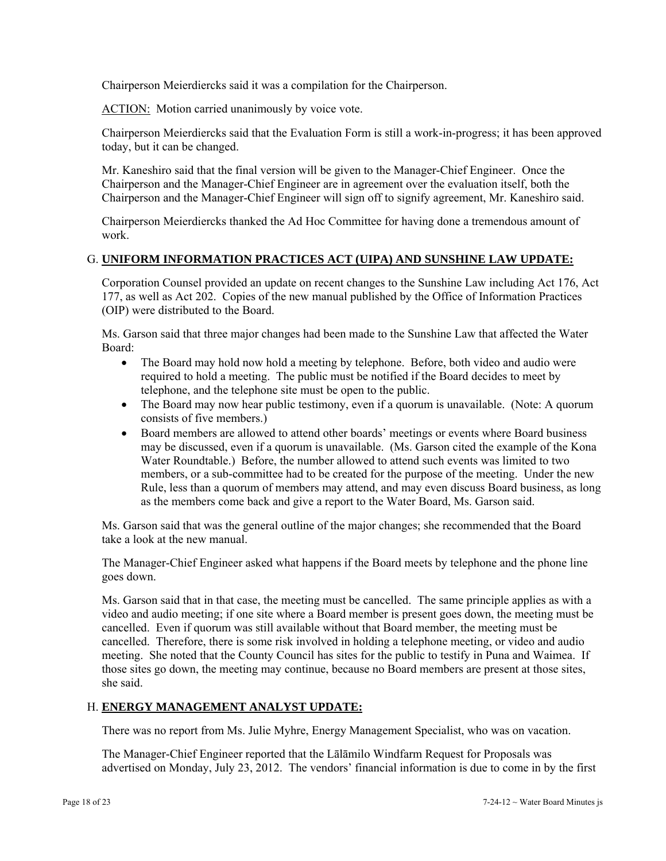Chairperson Meierdiercks said it was a compilation for the Chairperson.

ACTION: Motion carried unanimously by voice vote.

Chairperson Meierdiercks said that the Evaluation Form is still a work-in-progress; it has been approved today, but it can be changed.

Mr. Kaneshiro said that the final version will be given to the Manager-Chief Engineer. Once the Chairperson and the Manager-Chief Engineer are in agreement over the evaluation itself, both the Chairperson and the Manager-Chief Engineer will sign off to signify agreement, Mr. Kaneshiro said.

Chairperson Meierdiercks thanked the Ad Hoc Committee for having done a tremendous amount of work.

# G. **UNIFORM INFORMATION PRACTICES ACT (UIPA) AND SUNSHINE LAW UPDATE:**

Corporation Counsel provided an update on recent changes to the Sunshine Law including Act 176, Act 177, as well as Act 202. Copies of the new manual published by the Office of Information Practices (OIP) were distributed to the Board.

Ms. Garson said that three major changes had been made to the Sunshine Law that affected the Water Board:

- The Board may hold now hold a meeting by telephone. Before, both video and audio were required to hold a meeting. The public must be notified if the Board decides to meet by telephone, and the telephone site must be open to the public.
- The Board may now hear public testimony, even if a quorum is unavailable. (Note: A quorum consists of five members.)
- Board members are allowed to attend other boards' meetings or events where Board business may be discussed, even if a quorum is unavailable. (Ms. Garson cited the example of the Kona Water Roundtable.) Before, the number allowed to attend such events was limited to two members, or a sub-committee had to be created for the purpose of the meeting. Under the new Rule, less than a quorum of members may attend, and may even discuss Board business, as long as the members come back and give a report to the Water Board, Ms. Garson said.

Ms. Garson said that was the general outline of the major changes; she recommended that the Board take a look at the new manual.

The Manager-Chief Engineer asked what happens if the Board meets by telephone and the phone line goes down.

Ms. Garson said that in that case, the meeting must be cancelled. The same principle applies as with a video and audio meeting; if one site where a Board member is present goes down, the meeting must be cancelled. Even if quorum was still available without that Board member, the meeting must be cancelled. Therefore, there is some risk involved in holding a telephone meeting, or video and audio meeting. She noted that the County Council has sites for the public to testify in Puna and Waimea. If those sites go down, the meeting may continue, because no Board members are present at those sites, she said.

# H. **ENERGY MANAGEMENT ANALYST UPDATE:**

There was no report from Ms. Julie Myhre, Energy Management Specialist, who was on vacation.

The Manager-Chief Engineer reported that the Lālāmilo Windfarm Request for Proposals was advertised on Monday, July 23, 2012. The vendors' financial information is due to come in by the first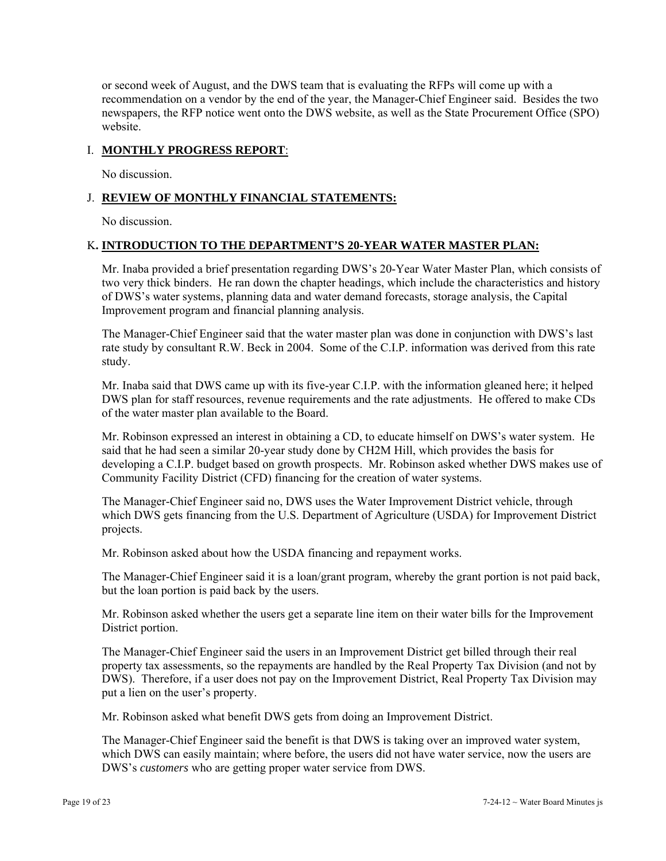or second week of August, and the DWS team that is evaluating the RFPs will come up with a recommendation on a vendor by the end of the year, the Manager-Chief Engineer said. Besides the two newspapers, the RFP notice went onto the DWS website, as well as the State Procurement Office (SPO) website.

# I. **MONTHLY PROGRESS REPORT**:

No discussion.

# J. **REVIEW OF MONTHLY FINANCIAL STATEMENTS:**

No discussion.

# K**. INTRODUCTION TO THE DEPARTMENT'S 20-YEAR WATER MASTER PLAN:**

Mr. Inaba provided a brief presentation regarding DWS's 20-Year Water Master Plan, which consists of two very thick binders. He ran down the chapter headings, which include the characteristics and history of DWS's water systems, planning data and water demand forecasts, storage analysis, the Capital Improvement program and financial planning analysis.

The Manager-Chief Engineer said that the water master plan was done in conjunction with DWS's last rate study by consultant R.W. Beck in 2004. Some of the C.I.P. information was derived from this rate study.

Mr. Inaba said that DWS came up with its five-year C.I.P. with the information gleaned here; it helped DWS plan for staff resources, revenue requirements and the rate adjustments. He offered to make CDs of the water master plan available to the Board.

Mr. Robinson expressed an interest in obtaining a CD, to educate himself on DWS's water system. He said that he had seen a similar 20-year study done by CH2M Hill, which provides the basis for developing a C.I.P. budget based on growth prospects. Mr. Robinson asked whether DWS makes use of Community Facility District (CFD) financing for the creation of water systems.

The Manager-Chief Engineer said no, DWS uses the Water Improvement District vehicle, through which DWS gets financing from the U.S. Department of Agriculture (USDA) for Improvement District projects.

Mr. Robinson asked about how the USDA financing and repayment works.

The Manager-Chief Engineer said it is a loan/grant program, whereby the grant portion is not paid back, but the loan portion is paid back by the users.

Mr. Robinson asked whether the users get a separate line item on their water bills for the Improvement District portion.

The Manager-Chief Engineer said the users in an Improvement District get billed through their real property tax assessments, so the repayments are handled by the Real Property Tax Division (and not by DWS). Therefore, if a user does not pay on the Improvement District, Real Property Tax Division may put a lien on the user's property.

Mr. Robinson asked what benefit DWS gets from doing an Improvement District.

The Manager-Chief Engineer said the benefit is that DWS is taking over an improved water system, which DWS can easily maintain; where before, the users did not have water service, now the users are DWS's *customers* who are getting proper water service from DWS.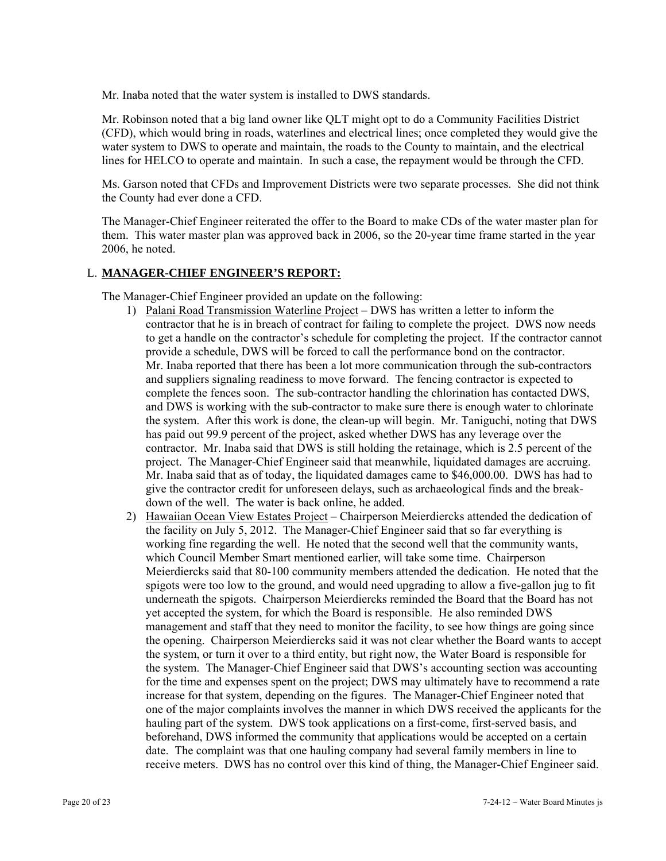Mr. Inaba noted that the water system is installed to DWS standards.

Mr. Robinson noted that a big land owner like QLT might opt to do a Community Facilities District (CFD), which would bring in roads, waterlines and electrical lines; once completed they would give the water system to DWS to operate and maintain, the roads to the County to maintain, and the electrical lines for HELCO to operate and maintain. In such a case, the repayment would be through the CFD.

Ms. Garson noted that CFDs and Improvement Districts were two separate processes. She did not think the County had ever done a CFD.

The Manager-Chief Engineer reiterated the offer to the Board to make CDs of the water master plan for them. This water master plan was approved back in 2006, so the 20-year time frame started in the year 2006, he noted.

# L. **MANAGER-CHIEF ENGINEER'S REPORT:**

The Manager-Chief Engineer provided an update on the following:

- 1) Palani Road Transmission Waterline Project DWS has written a letter to inform the contractor that he is in breach of contract for failing to complete the project. DWS now needs to get a handle on the contractor's schedule for completing the project. If the contractor cannot provide a schedule, DWS will be forced to call the performance bond on the contractor. Mr. Inaba reported that there has been a lot more communication through the sub-contractors and suppliers signaling readiness to move forward. The fencing contractor is expected to complete the fences soon. The sub-contractor handling the chlorination has contacted DWS, and DWS is working with the sub-contractor to make sure there is enough water to chlorinate the system. After this work is done, the clean-up will begin. Mr. Taniguchi, noting that DWS has paid out 99.9 percent of the project, asked whether DWS has any leverage over the contractor. Mr. Inaba said that DWS is still holding the retainage, which is 2.5 percent of the project. The Manager-Chief Engineer said that meanwhile, liquidated damages are accruing. Mr. Inaba said that as of today, the liquidated damages came to \$46,000.00. DWS has had to give the contractor credit for unforeseen delays, such as archaeological finds and the breakdown of the well. The water is back online, he added.
- 2) Hawaiian Ocean View Estates Project Chairperson Meierdiercks attended the dedication of the facility on July 5, 2012. The Manager-Chief Engineer said that so far everything is working fine regarding the well. He noted that the second well that the community wants, which Council Member Smart mentioned earlier, will take some time. Chairperson Meierdiercks said that 80-100 community members attended the dedication. He noted that the spigots were too low to the ground, and would need upgrading to allow a five-gallon jug to fit underneath the spigots. Chairperson Meierdiercks reminded the Board that the Board has not yet accepted the system, for which the Board is responsible. He also reminded DWS management and staff that they need to monitor the facility, to see how things are going since the opening. Chairperson Meierdiercks said it was not clear whether the Board wants to accept the system, or turn it over to a third entity, but right now, the Water Board is responsible for the system. The Manager-Chief Engineer said that DWS's accounting section was accounting for the time and expenses spent on the project; DWS may ultimately have to recommend a rate increase for that system, depending on the figures. The Manager-Chief Engineer noted that one of the major complaints involves the manner in which DWS received the applicants for the hauling part of the system. DWS took applications on a first-come, first-served basis, and beforehand, DWS informed the community that applications would be accepted on a certain date. The complaint was that one hauling company had several family members in line to receive meters. DWS has no control over this kind of thing, the Manager-Chief Engineer said.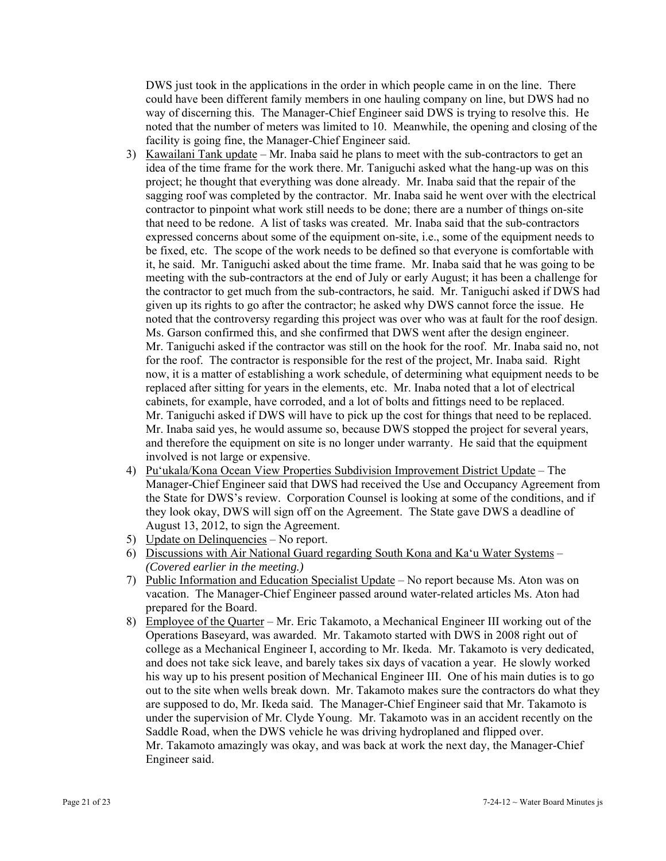DWS just took in the applications in the order in which people came in on the line. There could have been different family members in one hauling company on line, but DWS had no way of discerning this. The Manager-Chief Engineer said DWS is trying to resolve this. He noted that the number of meters was limited to 10. Meanwhile, the opening and closing of the facility is going fine, the Manager-Chief Engineer said.

- 3) Kawailani Tank update Mr. Inaba said he plans to meet with the sub-contractors to get an idea of the time frame for the work there. Mr. Taniguchi asked what the hang-up was on this project; he thought that everything was done already. Mr. Inaba said that the repair of the sagging roof was completed by the contractor. Mr. Inaba said he went over with the electrical contractor to pinpoint what work still needs to be done; there are a number of things on-site that need to be redone. A list of tasks was created. Mr. Inaba said that the sub-contractors expressed concerns about some of the equipment on-site, i.e., some of the equipment needs to be fixed, etc. The scope of the work needs to be defined so that everyone is comfortable with it, he said. Mr. Taniguchi asked about the time frame. Mr. Inaba said that he was going to be meeting with the sub-contractors at the end of July or early August; it has been a challenge for the contractor to get much from the sub-contractors, he said. Mr. Taniguchi asked if DWS had given up its rights to go after the contractor; he asked why DWS cannot force the issue. He noted that the controversy regarding this project was over who was at fault for the roof design. Ms. Garson confirmed this, and she confirmed that DWS went after the design engineer. Mr. Taniguchi asked if the contractor was still on the hook for the roof. Mr. Inaba said no, not for the roof. The contractor is responsible for the rest of the project, Mr. Inaba said. Right now, it is a matter of establishing a work schedule, of determining what equipment needs to be replaced after sitting for years in the elements, etc. Mr. Inaba noted that a lot of electrical cabinets, for example, have corroded, and a lot of bolts and fittings need to be replaced. Mr. Taniguchi asked if DWS will have to pick up the cost for things that need to be replaced. Mr. Inaba said yes, he would assume so, because DWS stopped the project for several years, and therefore the equipment on site is no longer under warranty. He said that the equipment involved is not large or expensive.
- 4) Pu'ukala/Kona Ocean View Properties Subdivision Improvement District Update The Manager-Chief Engineer said that DWS had received the Use and Occupancy Agreement from the State for DWS's review. Corporation Counsel is looking at some of the conditions, and if they look okay, DWS will sign off on the Agreement. The State gave DWS a deadline of August 13, 2012, to sign the Agreement.
- 5) Update on Delinquencies No report.
- 6) Discussions with Air National Guard regarding South Kona and Ka'u Water Systems *(Covered earlier in the meeting.)*
- 7) Public Information and Education Specialist Update No report because Ms. Aton was on vacation. The Manager-Chief Engineer passed around water-related articles Ms. Aton had prepared for the Board.
- 8) Employee of the Quarter Mr. Eric Takamoto, a Mechanical Engineer III working out of the Operations Baseyard, was awarded. Mr. Takamoto started with DWS in 2008 right out of college as a Mechanical Engineer I, according to Mr. Ikeda. Mr. Takamoto is very dedicated, and does not take sick leave, and barely takes six days of vacation a year. He slowly worked his way up to his present position of Mechanical Engineer III. One of his main duties is to go out to the site when wells break down. Mr. Takamoto makes sure the contractors do what they are supposed to do, Mr. Ikeda said. The Manager-Chief Engineer said that Mr. Takamoto is under the supervision of Mr. Clyde Young. Mr. Takamoto was in an accident recently on the Saddle Road, when the DWS vehicle he was driving hydroplaned and flipped over. Mr. Takamoto amazingly was okay, and was back at work the next day, the Manager-Chief Engineer said.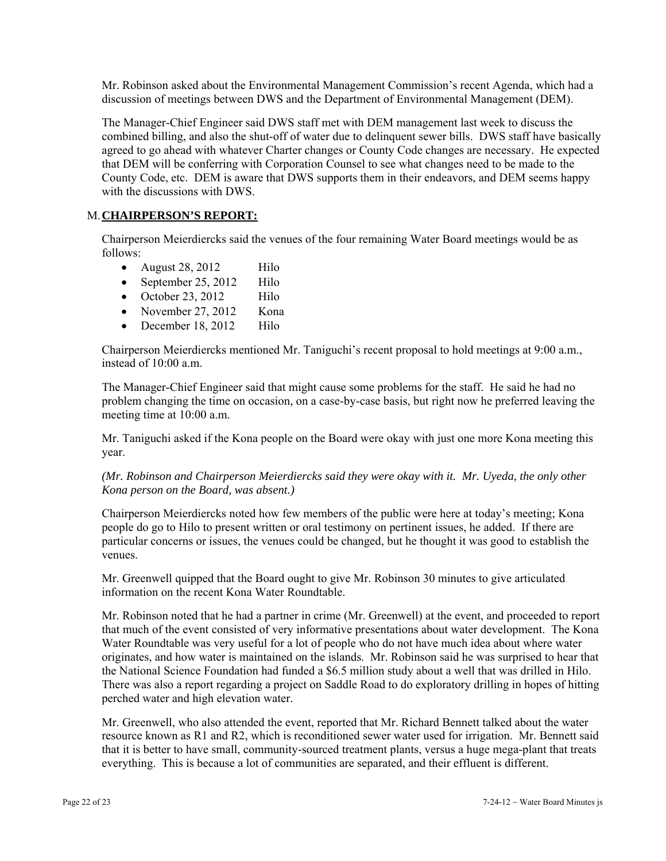Mr. Robinson asked about the Environmental Management Commission's recent Agenda, which had a discussion of meetings between DWS and the Department of Environmental Management (DEM).

The Manager-Chief Engineer said DWS staff met with DEM management last week to discuss the combined billing, and also the shut-off of water due to delinquent sewer bills. DWS staff have basically agreed to go ahead with whatever Charter changes or County Code changes are necessary. He expected that DEM will be conferring with Corporation Counsel to see what changes need to be made to the County Code, etc. DEM is aware that DWS supports them in their endeavors, and DEM seems happy with the discussions with DWS.

# M. **CHAIRPERSON'S REPORT:**

Chairperson Meierdiercks said the venues of the four remaining Water Board meetings would be as follows:

- August  $28, 2012$  Hilo
- September 25, 2012 Hilo
- October 23, 2012 Hilo
- November 27, 2012 Kona
- December 18, 2012 Hilo

Chairperson Meierdiercks mentioned Mr. Taniguchi's recent proposal to hold meetings at 9:00 a.m., instead of 10:00 a.m.

The Manager-Chief Engineer said that might cause some problems for the staff. He said he had no problem changing the time on occasion, on a case-by-case basis, but right now he preferred leaving the meeting time at 10:00 a.m.

Mr. Taniguchi asked if the Kona people on the Board were okay with just one more Kona meeting this year.

# *(Mr. Robinson and Chairperson Meierdiercks said they were okay with it. Mr. Uyeda, the only other Kona person on the Board, was absent.)*

Chairperson Meierdiercks noted how few members of the public were here at today's meeting; Kona people do go to Hilo to present written or oral testimony on pertinent issues, he added. If there are particular concerns or issues, the venues could be changed, but he thought it was good to establish the venues.

Mr. Greenwell quipped that the Board ought to give Mr. Robinson 30 minutes to give articulated information on the recent Kona Water Roundtable.

Mr. Robinson noted that he had a partner in crime (Mr. Greenwell) at the event, and proceeded to report that much of the event consisted of very informative presentations about water development. The Kona Water Roundtable was very useful for a lot of people who do not have much idea about where water originates, and how water is maintained on the islands. Mr. Robinson said he was surprised to hear that the National Science Foundation had funded a \$6.5 million study about a well that was drilled in Hilo. There was also a report regarding a project on Saddle Road to do exploratory drilling in hopes of hitting perched water and high elevation water.

Mr. Greenwell, who also attended the event, reported that Mr. Richard Bennett talked about the water resource known as R1 and R2, which is reconditioned sewer water used for irrigation. Mr. Bennett said that it is better to have small, community-sourced treatment plants, versus a huge mega-plant that treats everything. This is because a lot of communities are separated, and their effluent is different.